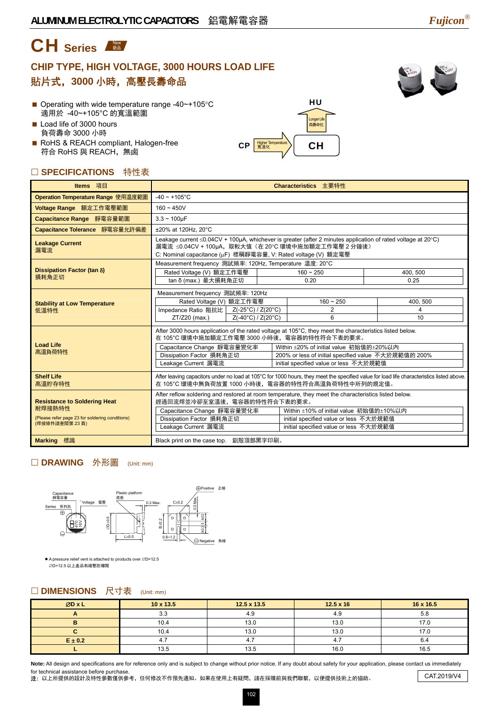# CH Series

# **CHIP TYPE, HIGH VOLTAGE, 3000 HOURS LOAD LIFE**  貼片式,**3000** 小時,高壓長壽命品



- Operating with wide temperature range -40~+105°C 適用於 -40~+105°C 的寬溫範圍
- Load life of 3000 hours 負荷壽命 3000 小時
- RoHS & REACH compliant, Halogen-free 符合 RoHS 與 REACH, 無鹵

## **SPECIFICATIONS** 特性表

| ] <b>SPECIFICATIONS</b> 特性表                                                                                       |                                                                                                                                                                                                                                                                                                                                                                                      |                                                        |                                    |  |                     |  |  |
|-------------------------------------------------------------------------------------------------------------------|--------------------------------------------------------------------------------------------------------------------------------------------------------------------------------------------------------------------------------------------------------------------------------------------------------------------------------------------------------------------------------------|--------------------------------------------------------|------------------------------------|--|---------------------|--|--|
| Items 項目                                                                                                          | Characteristics 主要特性                                                                                                                                                                                                                                                                                                                                                                 |                                                        |                                    |  |                     |  |  |
| Operation Temperature Range 使用温度範圍                                                                                | $-40 \sim +105$ °C                                                                                                                                                                                                                                                                                                                                                                   |                                                        |                                    |  |                     |  |  |
| Voltage Range 額定工作電壓範圍                                                                                            | $160 - 450V$                                                                                                                                                                                                                                                                                                                                                                         |                                                        |                                    |  |                     |  |  |
| Capacitance Range 靜電容量範圍                                                                                          | $3.3 - 100 \mu F$                                                                                                                                                                                                                                                                                                                                                                    |                                                        |                                    |  |                     |  |  |
| Capacitance Tolerance 靜電容量允許偏差                                                                                    | ±20% at 120Hz, 20°C                                                                                                                                                                                                                                                                                                                                                                  |                                                        |                                    |  |                     |  |  |
| <b>Leakage Current</b><br>漏電流                                                                                     | Leakage current ≤0.04CV + 100µA, whichever is greater (after 2 minutes application of rated voltage at 20°C)<br>漏電流 ≤0.04CV + 100µA,取較大值(在 20℃ 環境中施加額定工作電壓 2 分鐘後)<br>C: Nominal capacitance (µF) 標稱靜電容量, V: Rated voltage (V) 額定電壓                                                                                                                                                   |                                                        |                                    |  |                     |  |  |
| Dissipation Factor (tan $\delta$ )                                                                                | Measurement frequency 測試頻率: 120Hz, Temperature 温度: 20°C<br>Rated Voltage (V) 額定工作電壓                                                                                                                                                                                                                                                                                                  |                                                        | $160 - 250$                        |  | 400, 500            |  |  |
| 損耗角正切                                                                                                             | tan δ (max.) 最大損耗角正切                                                                                                                                                                                                                                                                                                                                                                 |                                                        | 0.20                               |  | 0.25                |  |  |
| <b>Stability at Low Temperature</b><br>低溫特性                                                                       | Measurement frequency 測試頻率: 120Hz<br>Rated Voltage (V) 額定工作電壓<br>Impedance Ratio 阻抗比  <br>ZT/Z20 (max.)                                                                                                                                                                                                                                                                              | Z(-25°C) / Z(20°C)<br>$Z(-40^{\circ}C)/Z(20^{\circ}C)$ | $160 - 250$<br>$\overline{2}$<br>6 |  | 400, 500<br>4<br>10 |  |  |
| <b>Load Life</b><br>高溫負荷特性                                                                                        | After 3000 hours application of the rated voltage at 105°C, they meet the characteristics listed below.<br>在 105°C 環境中施加額定工作電壓 3000 小時後,電容器的特性符合下表的要求。<br>Within ±20% of initial value 初始值的±20%以内<br>Capacitance Change 靜電容量變化率<br>Dissipation Factor 損耗角正切<br>200% or less of initial specified value 不大於規範值的 200%<br>Leakage Current 漏電流<br>initial specified value or less 不大於規範值 |                                                        |                                    |  |                     |  |  |
| <b>Shelf Life</b><br>高溫貯存特性                                                                                       | After leaving capacitors under no load at 105°C for 1000 hours, they meet the specified value for load life characteristics listed above.<br>在 105℃ 環境中無負荷放置 1000 小時後,電容器的特性符合高溫負荷特性中所列的規定值。                                                                                                                                                                                         |                                                        |                                    |  |                     |  |  |
| <b>Resistance to Soldering Heat</b><br>耐焊接熱特性<br>(Please refer page 23 for soldering conditions)<br>(焊接條件請查閱第23頁) | After reflow soldering and restored at room temperature, they meet the characteristics listed below.<br>經過回流焊並冷卻至室溫後,電容器的特性符合下表的要求。<br>Capacitance Change 靜電容量變化率<br>Within ±10% of initial value 初始值的±10%以内<br>Dissipation Factor 損耗角正切<br>initial specified value or less 不大於規範值<br>Leakage Current 漏電流<br>initial specified value or less 不大於規範值                                  |                                                        |                                    |  |                     |  |  |
| Marking 標識                                                                                                        | Black print on the case top. 鋁殼頂部黑字印刷。                                                                                                                                                                                                                                                                                                                                               |                                                        |                                    |  |                     |  |  |

 $\left| \text{CIP} \right|$   $\frac{\text{Higher Temperature}}{\$34}$   $\left| \right|$   $\left| \text{CH} \right|$ 

HU

Longer Life 長壽命化

### □ DRAWING 外形圖 (Unit: mm)



● A pressure relief vent is attached to products over ∅D=12.5<br> ∅D=12.5 以上產品有緩壓防爆閥

#### □ DIMENSIONS 尺寸表 (Unit: mm)

| ØDxL        | $10 \times 13.5$ | $12.5 \times 13.5$ | $12.5 \times 16$ | 16 x 16.5 |
|-------------|------------------|--------------------|------------------|-----------|
|             | າ າ<br>ა.ა       | $\Lambda$ $\Omega$ | 4.ອ              | 5.8       |
|             | 10.4             | 13.0               | 13.0             | 17.0      |
|             | 10.4             | 13.0               | 13.0             | 17.0      |
| $E \pm 0.2$ | 4.,              |                    |                  | o.4       |
|             | 13.5             | 13.5               | 16.0             | 16.5      |

Note: All design and specifications are for reference only and is subject to change without prior notice. If any doubt about safety for your application, please contact us immediately for technical assistance before purchase.

注: 以上所提供的設計及特性參數僅供參考,任何修改不作預先通知。如果在使用上有疑問,請在採購前與我們聯繫,以便提供技術上的協助。 CAT.2019/V4